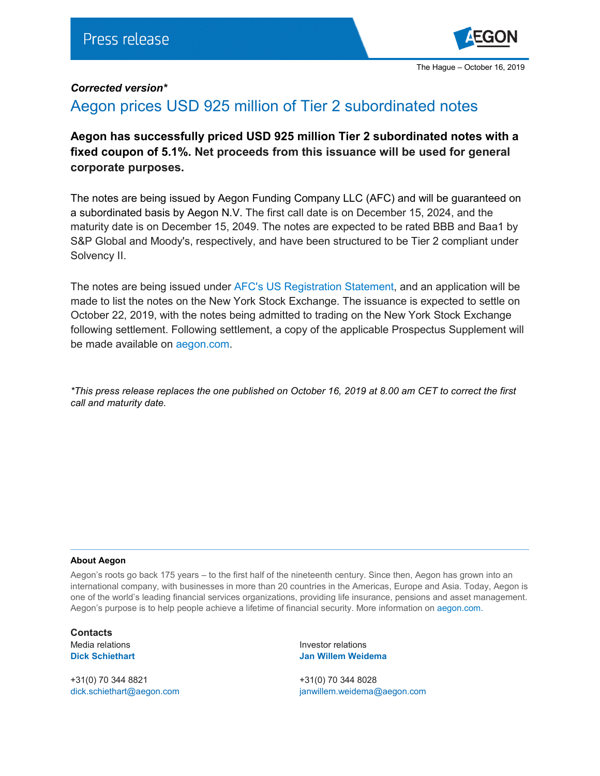

## *Corrected version\**

## Aegon prices USD 925 million of Tier 2 subordinated notes

**Aegon has successfully priced USD 925 million Tier 2 subordinated notes with a fixed coupon of 5.1%. Net proceeds from this issuance will be used for general corporate purposes.**

The notes are being issued by Aegon Funding Company LLC (AFC) and will be guaranteed on a subordinated basis by Aegon N.V. The first call date is on December 15, 2024, and the maturity date is on December 15, 2049. The notes are expected to be rated BBB and Baa1 by S&P Global and Moody's, respectively, and have been structured to be Tier 2 compliant under Solvency II.

The notes are being issued under [AFC's US Registration Statement,](https://www.aegon.com/contentassets/500e5b77744142d2902e2ad380c320b5/aegon-us-shelf-registration.pdf) and an application will be made to list the notes on the New York Stock Exchange. The issuance is expected to settle on October 22, 2019, with the notes being admitted to trading on the New York Stock Exchange following settlement. Following settlement, a copy of the applicable Prospectus Supplement will be made available on [aegon.com.](https://www.aegon.com/en/Home/Investors/Managing-capital/Debt-Programs/Subordinated-Debt-Notes/)

*\*This press release replaces the one published on October 16, 2019 at 8.00 am CET to correct the first call and maturity date.*

## **About Aegon**

Aegon's roots go back 175 years – to the first half of the nineteenth century. Since then, Aegon has grown into an international company, with businesses in more than 20 countries in the Americas, Europe and Asia. Today, Aegon is one of the world's leading financial services organizations, providing life insurance, pensions and asset management. Aegon's purpose is to help people achieve a lifetime of financial security. More information on [aegon.com.](http://www.aegon.com/about)

**Contacts**

+31(0) 70 344 8821 +31(0) 70 344 8028

Media relations in the intervention of the latest relations of the latest relations of the latest relations of the latest relations of the latest relations of the latest relations of the latest relations of the latest rela **Dick Schiethart Jan Willem Weidema**

[dick.schiethart@aegon.com](mailto:dick.schiethart@aegon.com) [janwillem.weidema@aegon.com](mailto:janwillem.weidema@aegon.com)